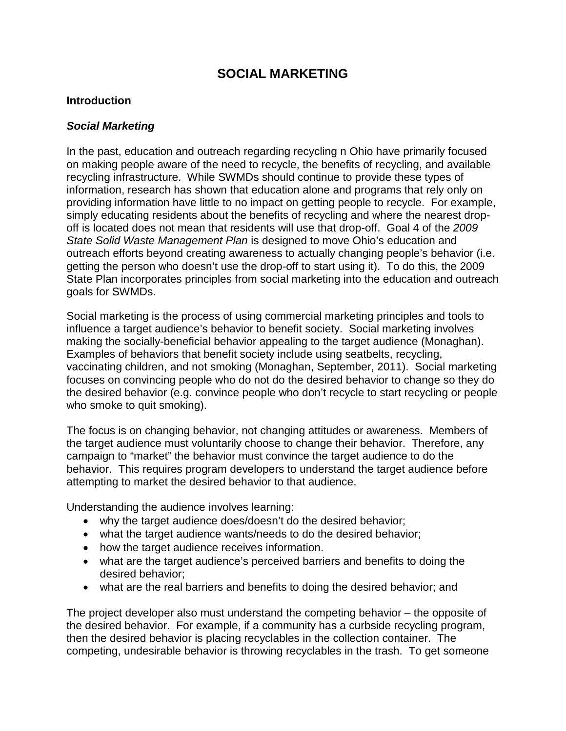# **SOCIAL MARKETING**

#### **Introduction**

#### *Social Marketing*

In the past, education and outreach regarding recycling n Ohio have primarily focused on making people aware of the need to recycle, the benefits of recycling, and available recycling infrastructure. While SWMDs should continue to provide these types of information, research has shown that education alone and programs that rely only on providing information have little to no impact on getting people to recycle. For example, simply educating residents about the benefits of recycling and where the nearest dropoff is located does not mean that residents will use that drop-off. Goal 4 of the *2009 State Solid Waste Management Plan* is designed to move Ohio's education and outreach efforts beyond creating awareness to actually changing people's behavior (i.e. getting the person who doesn't use the drop-off to start using it). To do this, the 2009 State Plan incorporates principles from social marketing into the education and outreach goals for SWMDs.

Social marketing is the process of using commercial marketing principles and tools to influence a target audience's behavior to benefit society. Social marketing involves making the socially-beneficial behavior appealing to the target audience (Monaghan). Examples of behaviors that benefit society include using seatbelts, recycling, vaccinating children, and not smoking (Monaghan, September, 2011). Social marketing focuses on convincing people who do not do the desired behavior to change so they do the desired behavior (e.g. convince people who don't recycle to start recycling or people who smoke to quit smoking).

The focus is on changing behavior, not changing attitudes or awareness. Members of the target audience must voluntarily choose to change their behavior. Therefore, any campaign to "market" the behavior must convince the target audience to do the behavior. This requires program developers to understand the target audience before attempting to market the desired behavior to that audience.

Understanding the audience involves learning:

- why the target audience does/doesn't do the desired behavior;
- what the target audience wants/needs to do the desired behavior;
- how the target audience receives information.
- what are the target audience's perceived barriers and benefits to doing the desired behavior;
- what are the real barriers and benefits to doing the desired behavior; and

The project developer also must understand the competing behavior – the opposite of the desired behavior. For example, if a community has a curbside recycling program, then the desired behavior is placing recyclables in the collection container. The competing, undesirable behavior is throwing recyclables in the trash. To get someone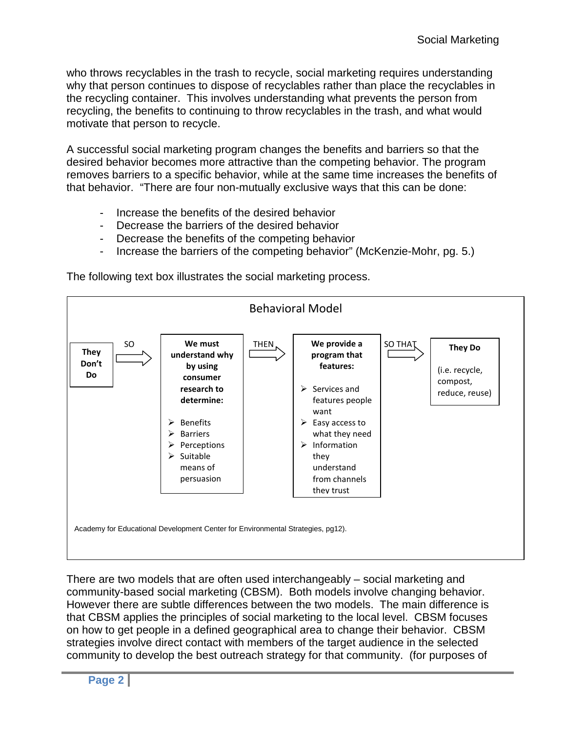who throws recyclables in the trash to recycle, social marketing requires understanding why that person continues to dispose of recyclables rather than place the recyclables in the recycling container. This involves understanding what prevents the person from recycling, the benefits to continuing to throw recyclables in the trash, and what would motivate that person to recycle.

A successful social marketing program changes the benefits and barriers so that the desired behavior becomes more attractive than the competing behavior. The program removes barriers to a specific behavior, while at the same time increases the benefits of that behavior. "There are four non-mutually exclusive ways that this can be done:

- Increase the benefits of the desired behavior
- Decrease the barriers of the desired behavior
- Decrease the benefits of the competing behavior
- Increase the barriers of the competing behavior" (McKenzie-Mohr, pg. 5.)



The following text box illustrates the social marketing process.

There are two models that are often used interchangeably – social marketing and community-based social marketing (CBSM). Both models involve changing behavior. However there are subtle differences between the two models. The main difference is that CBSM applies the principles of social marketing to the local level. CBSM focuses on how to get people in a defined geographical area to change their behavior. CBSM strategies involve direct contact with members of the target audience in the selected community to develop the best outreach strategy for that community. (for purposes of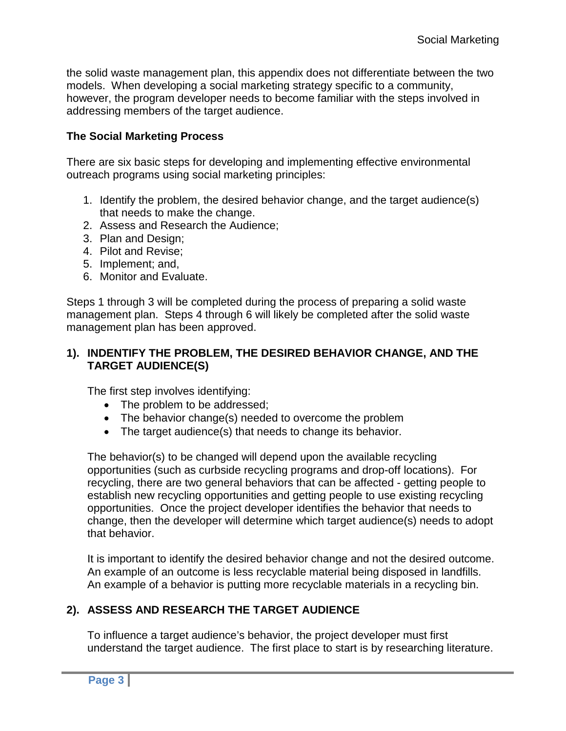the solid waste management plan, this appendix does not differentiate between the two models. When developing a social marketing strategy specific to a community, however, the program developer needs to become familiar with the steps involved in addressing members of the target audience.

# **The Social Marketing Process**

There are six basic steps for developing and implementing effective environmental outreach programs using social marketing principles:

- 1. Identify the problem, the desired behavior change, and the target audience(s) that needs to make the change.
- 2. Assess and Research the Audience;
- 3. Plan and Design;
- 4. Pilot and Revise;
- 5. Implement; and,
- 6. Monitor and Evaluate.

Steps 1 through 3 will be completed during the process of preparing a solid waste management plan. Steps 4 through 6 will likely be completed after the solid waste management plan has been approved.

### **1). INDENTIFY THE PROBLEM, THE DESIRED BEHAVIOR CHANGE, AND THE TARGET AUDIENCE(S)**

The first step involves identifying:

- The problem to be addressed;
- The behavior change(s) needed to overcome the problem
- The target audience(s) that needs to change its behavior.

The behavior(s) to be changed will depend upon the available recycling opportunities (such as curbside recycling programs and drop-off locations). For recycling, there are two general behaviors that can be affected - getting people to establish new recycling opportunities and getting people to use existing recycling opportunities. Once the project developer identifies the behavior that needs to change, then the developer will determine which target audience(s) needs to adopt that behavior.

It is important to identify the desired behavior change and not the desired outcome. An example of an outcome is less recyclable material being disposed in landfills. An example of a behavior is putting more recyclable materials in a recycling bin.

# **2). ASSESS AND RESEARCH THE TARGET AUDIENCE**

To influence a target audience's behavior, the project developer must first understand the target audience. The first place to start is by researching literature.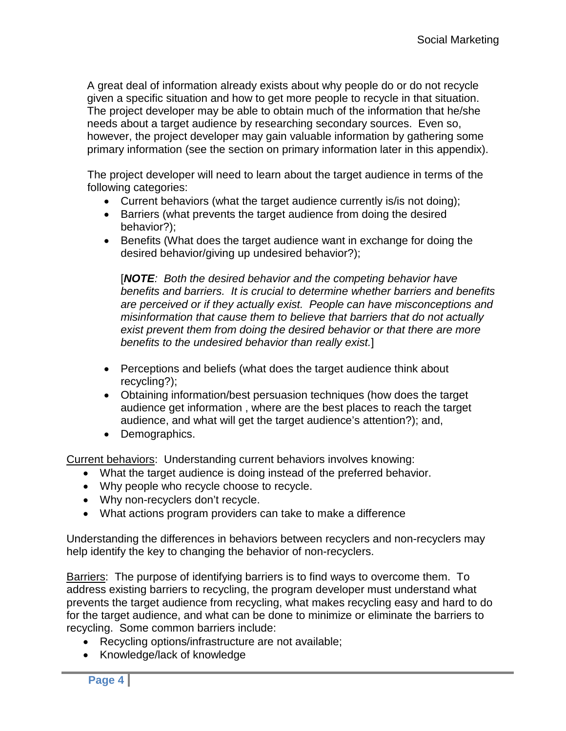A great deal of information already exists about why people do or do not recycle given a specific situation and how to get more people to recycle in that situation. The project developer may be able to obtain much of the information that he/she needs about a target audience by researching secondary sources. Even so, however, the project developer may gain valuable information by gathering some primary information (see the section on primary information later in this appendix).

The project developer will need to learn about the target audience in terms of the following categories:

- Current behaviors (what the target audience currently is/is not doing);
- Barriers (what prevents the target audience from doing the desired behavior?);
- Benefits (What does the target audience want in exchange for doing the desired behavior/giving up undesired behavior?);

[*NOTE: Both the desired behavior and the competing behavior have benefits and barriers. It is crucial to determine whether barriers and benefits are perceived or if they actually exist. People can have misconceptions and misinformation that cause them to believe that barriers that do not actually exist prevent them from doing the desired behavior or that there are more benefits to the undesired behavior than really exist.*]

- Perceptions and beliefs (what does the target audience think about recycling?);
- Obtaining information/best persuasion techniques (how does the target audience get information , where are the best places to reach the target audience, and what will get the target audience's attention?); and,
- Demographics.

Current behaviors: Understanding current behaviors involves knowing:

- What the target audience is doing instead of the preferred behavior.
- Why people who recycle choose to recycle.
- Why non-recyclers don't recycle.
- What actions program providers can take to make a difference

Understanding the differences in behaviors between recyclers and non-recyclers may help identify the key to changing the behavior of non-recyclers.

Barriers: The purpose of identifying barriers is to find ways to overcome them. To address existing barriers to recycling, the program developer must understand what prevents the target audience from recycling, what makes recycling easy and hard to do for the target audience, and what can be done to minimize or eliminate the barriers to recycling. Some common barriers include:

- Recycling options/infrastructure are not available;
- Knowledge/lack of knowledge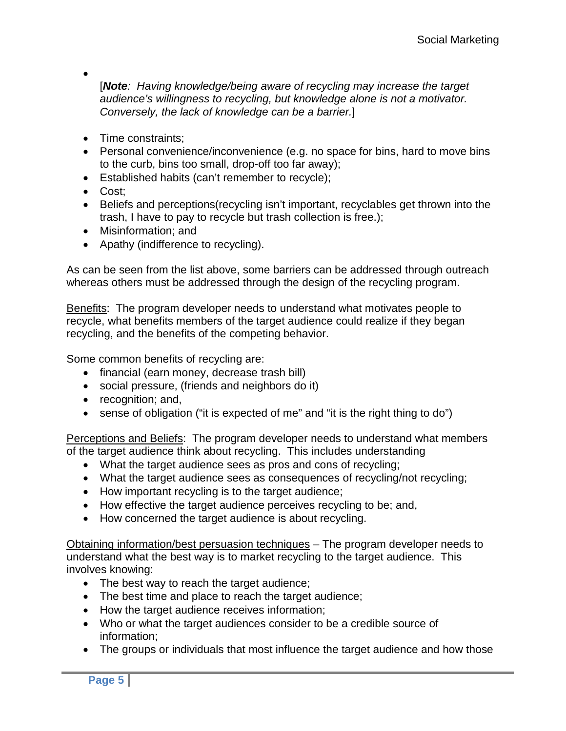•

[*Note: Having knowledge/being aware of recycling may increase the target audience's willingness to recycling, but knowledge alone is not a motivator. Conversely, the lack of knowledge can be a barrier.*]

- Time constraints:
- Personal convenience/inconvenience (e.g. no space for bins, hard to move bins to the curb, bins too small, drop-off too far away);
- Established habits (can't remember to recycle);
- Cost;
- Beliefs and perceptions(recycling isn't important, recyclables get thrown into the trash, I have to pay to recycle but trash collection is free.);
- Misinformation: and
- Apathy (indifference to recycling).

As can be seen from the list above, some barriers can be addressed through outreach whereas others must be addressed through the design of the recycling program.

Benefits: The program developer needs to understand what motivates people to recycle, what benefits members of the target audience could realize if they began recycling, and the benefits of the competing behavior.

Some common benefits of recycling are:

- financial (earn money, decrease trash bill)
- social pressure, (friends and neighbors do it)
- recognition; and,
- sense of obligation ("it is expected of me" and "it is the right thing to do")

Perceptions and Beliefs: The program developer needs to understand what members of the target audience think about recycling. This includes understanding

- What the target audience sees as pros and cons of recycling;
- What the target audience sees as consequences of recycling/not recycling;
- How important recycling is to the target audience;
- How effective the target audience perceives recycling to be; and,
- How concerned the target audience is about recycling.

Obtaining information/best persuasion techniques – The program developer needs to understand what the best way is to market recycling to the target audience. This involves knowing:

- The best way to reach the target audience;
- The best time and place to reach the target audience;
- How the target audience receives information;
- Who or what the target audiences consider to be a credible source of information;
- The groups or individuals that most influence the target audience and how those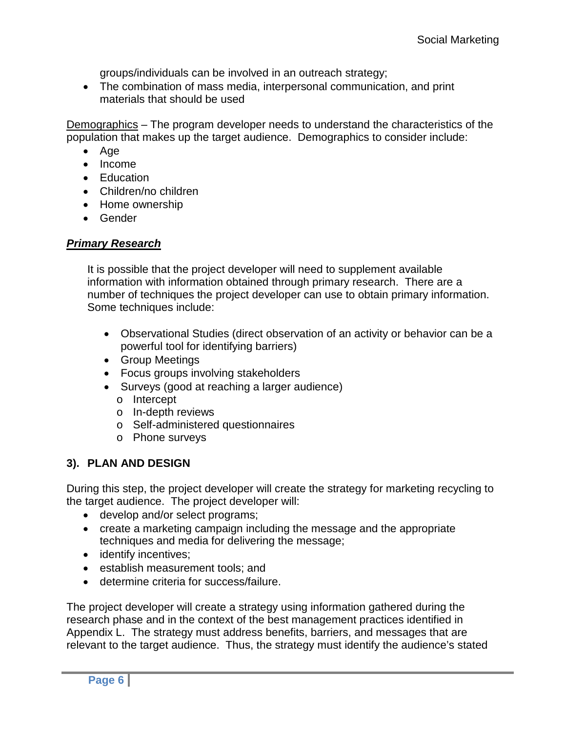groups/individuals can be involved in an outreach strategy;

• The combination of mass media, interpersonal communication, and print materials that should be used

Demographics – The program developer needs to understand the characteristics of the population that makes up the target audience. Demographics to consider include:

- Age
- Income
- Education
- Children/no children
- Home ownership
- Gender

### *Primary Research*

It is possible that the project developer will need to supplement available information with information obtained through primary research. There are a number of techniques the project developer can use to obtain primary information. Some techniques include:

- Observational Studies (direct observation of an activity or behavior can be a powerful tool for identifying barriers)
- Group Meetings
- Focus groups involving stakeholders
- Surveys (good at reaching a larger audience)
	- o Intercept
	- o In-depth reviews
	- o Self-administered questionnaires
	- o Phone surveys

## **3). PLAN AND DESIGN**

During this step, the project developer will create the strategy for marketing recycling to the target audience. The project developer will:

- develop and/or select programs;
- create a marketing campaign including the message and the appropriate techniques and media for delivering the message;
- identify incentives;
- establish measurement tools; and
- determine criteria for success/failure.

The project developer will create a strategy using information gathered during the research phase and in the context of the best management practices identified in Appendix L. The strategy must address benefits, barriers, and messages that are relevant to the target audience. Thus, the strategy must identify the audience's stated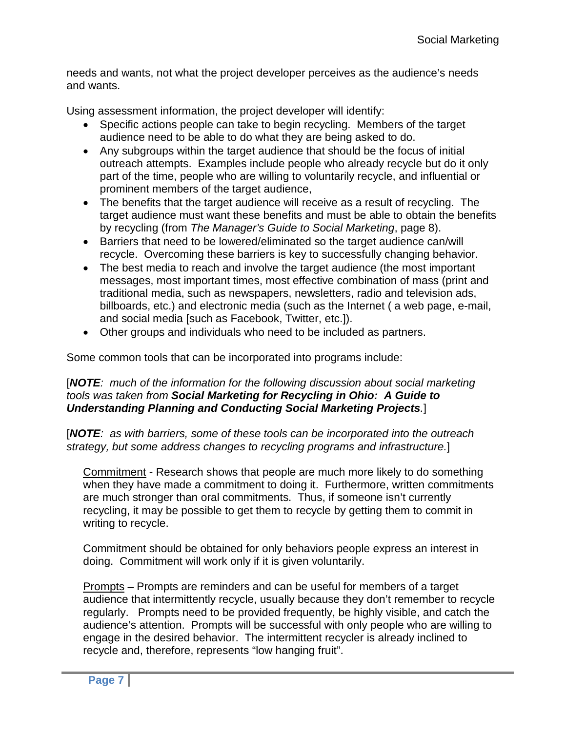needs and wants, not what the project developer perceives as the audience's needs and wants.

Using assessment information, the project developer will identify:

- Specific actions people can take to begin recycling. Members of the target audience need to be able to do what they are being asked to do.
- Any subgroups within the target audience that should be the focus of initial outreach attempts. Examples include people who already recycle but do it only part of the time, people who are willing to voluntarily recycle, and influential or prominent members of the target audience,
- The benefits that the target audience will receive as a result of recycling. The target audience must want these benefits and must be able to obtain the benefits by recycling (from *The Manager's Guide to Social Marketing*, page 8).
- Barriers that need to be lowered/eliminated so the target audience can/will recycle. Overcoming these barriers is key to successfully changing behavior.
- The best media to reach and involve the target audience (the most important messages, most important times, most effective combination of mass (print and traditional media, such as newspapers, newsletters, radio and television ads, billboards, etc.) and electronic media (such as the Internet ( a web page, e-mail, and social media [such as Facebook, Twitter, etc.]).
- Other groups and individuals who need to be included as partners.

Some common tools that can be incorporated into programs include:

#### [*NOTE: much of the information for the following discussion about social marketing tools was taken from Social Marketing for Recycling in Ohio: A Guide to Understanding Planning and Conducting Social Marketing Projects.*]

[*NOTE: as with barriers, some of these tools can be incorporated into the outreach strategy, but some address changes to recycling programs and infrastructure.*]

Commitment - Research shows that people are much more likely to do something when they have made a commitment to doing it. Furthermore, written commitments are much stronger than oral commitments. Thus, if someone isn't currently recycling, it may be possible to get them to recycle by getting them to commit in writing to recycle.

Commitment should be obtained for only behaviors people express an interest in doing. Commitment will work only if it is given voluntarily.

Prompts – Prompts are reminders and can be useful for members of a target audience that intermittently recycle, usually because they don't remember to recycle regularly. Prompts need to be provided frequently, be highly visible, and catch the audience's attention. Prompts will be successful with only people who are willing to engage in the desired behavior. The intermittent recycler is already inclined to recycle and, therefore, represents "low hanging fruit".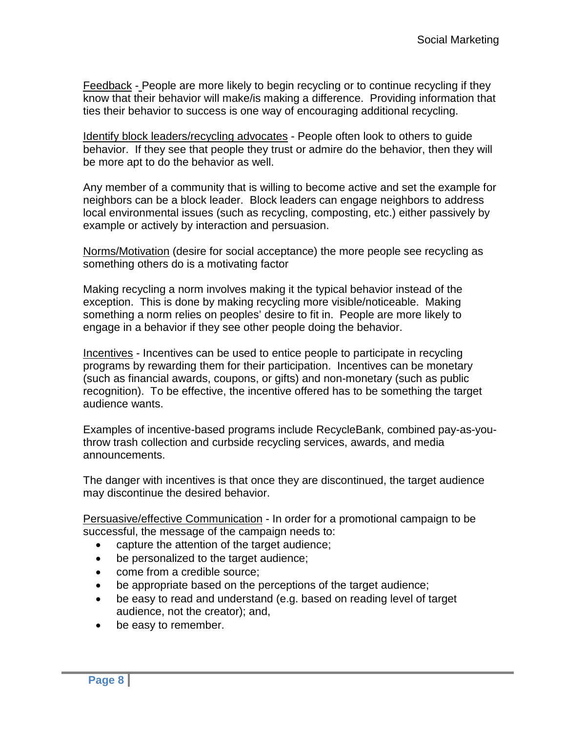Feedback - People are more likely to begin recycling or to continue recycling if they know that their behavior will make/is making a difference. Providing information that ties their behavior to success is one way of encouraging additional recycling.

Identify block leaders/recycling advocates - People often look to others to guide behavior. If they see that people they trust or admire do the behavior, then they will be more apt to do the behavior as well.

Any member of a community that is willing to become active and set the example for neighbors can be a block leader. Block leaders can engage neighbors to address local environmental issues (such as recycling, composting, etc.) either passively by example or actively by interaction and persuasion.

Norms/Motivation (desire for social acceptance) the more people see recycling as something others do is a motivating factor

Making recycling a norm involves making it the typical behavior instead of the exception. This is done by making recycling more visible/noticeable. Making something a norm relies on peoples' desire to fit in. People are more likely to engage in a behavior if they see other people doing the behavior.

Incentives - Incentives can be used to entice people to participate in recycling programs by rewarding them for their participation. Incentives can be monetary (such as financial awards, coupons, or gifts) and non-monetary (such as public recognition). To be effective, the incentive offered has to be something the target audience wants.

Examples of incentive-based programs include RecycleBank, combined pay-as-youthrow trash collection and curbside recycling services, awards, and media announcements.

The danger with incentives is that once they are discontinued, the target audience may discontinue the desired behavior.

Persuasive/effective Communication - In order for a promotional campaign to be successful, the message of the campaign needs to:

- capture the attention of the target audience;
- be personalized to the target audience;
- come from a credible source;
- be appropriate based on the perceptions of the target audience;
- be easy to read and understand (e.g. based on reading level of target audience, not the creator); and,
- be easy to remember.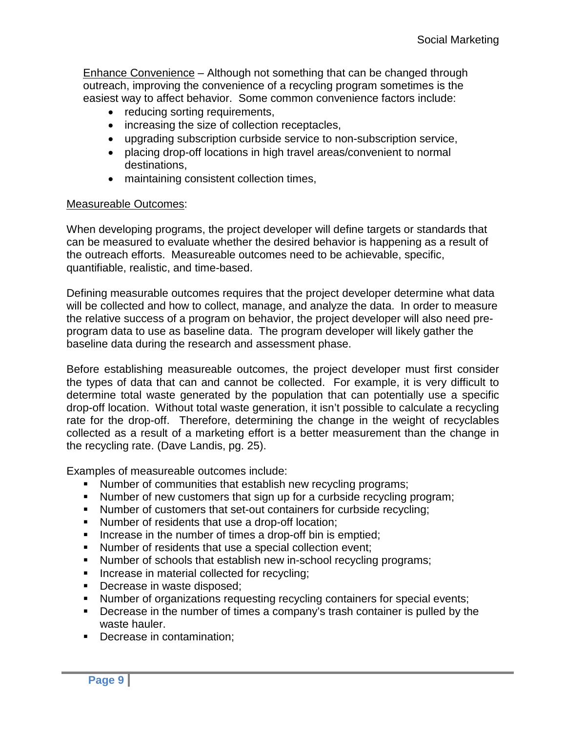Enhance Convenience – Although not something that can be changed through outreach, improving the convenience of a recycling program sometimes is the easiest way to affect behavior. Some common convenience factors include:

- reducing sorting requirements,
- increasing the size of collection receptacles,
- upgrading subscription curbside service to non-subscription service,
- placing drop-off locations in high travel areas/convenient to normal destinations,
- maintaining consistent collection times,

### Measureable Outcomes:

When developing programs, the project developer will define targets or standards that can be measured to evaluate whether the desired behavior is happening as a result of the outreach efforts. Measureable outcomes need to be achievable, specific, quantifiable, realistic, and time-based.

Defining measurable outcomes requires that the project developer determine what data will be collected and how to collect, manage, and analyze the data. In order to measure the relative success of a program on behavior, the project developer will also need preprogram data to use as baseline data. The program developer will likely gather the baseline data during the research and assessment phase.

Before establishing measureable outcomes, the project developer must first consider the types of data that can and cannot be collected. For example, it is very difficult to determine total waste generated by the population that can potentially use a specific drop-off location. Without total waste generation, it isn't possible to calculate a recycling rate for the drop-off. Therefore, determining the change in the weight of recyclables collected as a result of a marketing effort is a better measurement than the change in the recycling rate. (Dave Landis, pg. 25).

Examples of measureable outcomes include:

- Number of communities that establish new recycling programs;
- Number of new customers that sign up for a curbside recycling program;
- Number of customers that set-out containers for curbside recycling;
- Number of residents that use a drop-off location;
- Increase in the number of times a drop-off bin is emptied;
- Number of residents that use a special collection event;
- Number of schools that establish new in-school recycling programs;
- **Increase in material collected for recycling;**
- Decrease in waste disposed;
- Number of organizations requesting recycling containers for special events;
- **Decrease in the number of times a company's trash container is pulled by the** waste hauler.
- **Decrease in contamination;**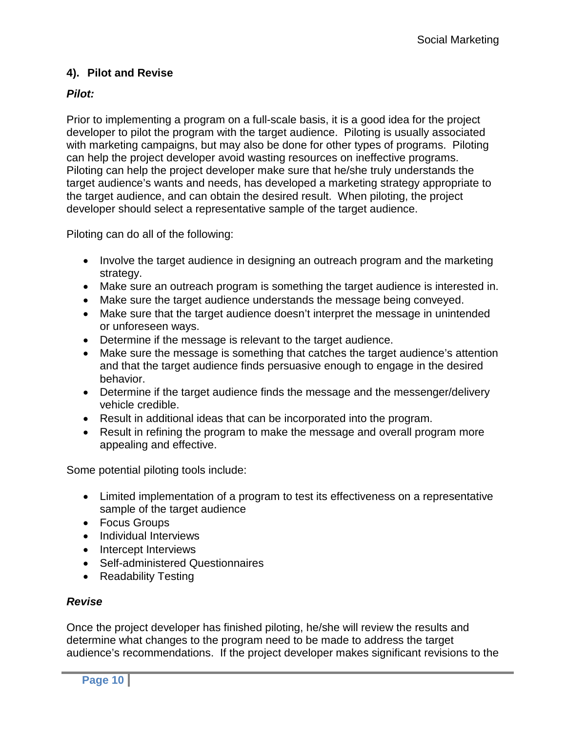# **4). Pilot and Revise**

# *Pilot:*

Prior to implementing a program on a full-scale basis, it is a good idea for the project developer to pilot the program with the target audience. Piloting is usually associated with marketing campaigns, but may also be done for other types of programs. Piloting can help the project developer avoid wasting resources on ineffective programs. Piloting can help the project developer make sure that he/she truly understands the target audience's wants and needs, has developed a marketing strategy appropriate to the target audience, and can obtain the desired result. When piloting, the project developer should select a representative sample of the target audience.

Piloting can do all of the following:

- Involve the target audience in designing an outreach program and the marketing strategy.
- Make sure an outreach program is something the target audience is interested in.
- Make sure the target audience understands the message being conveyed.
- Make sure that the target audience doesn't interpret the message in unintended or unforeseen ways.
- Determine if the message is relevant to the target audience.
- Make sure the message is something that catches the target audience's attention and that the target audience finds persuasive enough to engage in the desired behavior.
- Determine if the target audience finds the message and the messenger/delivery vehicle credible.
- Result in additional ideas that can be incorporated into the program.
- Result in refining the program to make the message and overall program more appealing and effective.

Some potential piloting tools include:

- Limited implementation of a program to test its effectiveness on a representative sample of the target audience
- Focus Groups
- Individual Interviews
- Intercept Interviews
- Self-administered Questionnaires
- Readability Testing

## *Revise*

Once the project developer has finished piloting, he/she will review the results and determine what changes to the program need to be made to address the target audience's recommendations. If the project developer makes significant revisions to the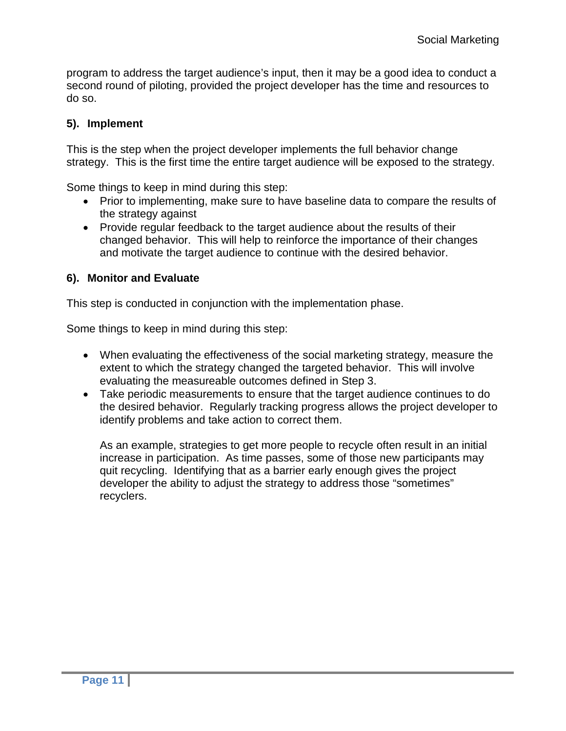program to address the target audience's input, then it may be a good idea to conduct a second round of piloting, provided the project developer has the time and resources to do so.

# **5). Implement**

This is the step when the project developer implements the full behavior change strategy. This is the first time the entire target audience will be exposed to the strategy.

Some things to keep in mind during this step:

- Prior to implementing, make sure to have baseline data to compare the results of the strategy against
- Provide regular feedback to the target audience about the results of their changed behavior. This will help to reinforce the importance of their changes and motivate the target audience to continue with the desired behavior.

# **6). Monitor and Evaluate**

This step is conducted in conjunction with the implementation phase.

Some things to keep in mind during this step:

- When evaluating the effectiveness of the social marketing strategy, measure the extent to which the strategy changed the targeted behavior. This will involve evaluating the measureable outcomes defined in Step 3.
- Take periodic measurements to ensure that the target audience continues to do the desired behavior. Regularly tracking progress allows the project developer to identify problems and take action to correct them.

As an example, strategies to get more people to recycle often result in an initial increase in participation. As time passes, some of those new participants may quit recycling. Identifying that as a barrier early enough gives the project developer the ability to adjust the strategy to address those "sometimes" recyclers.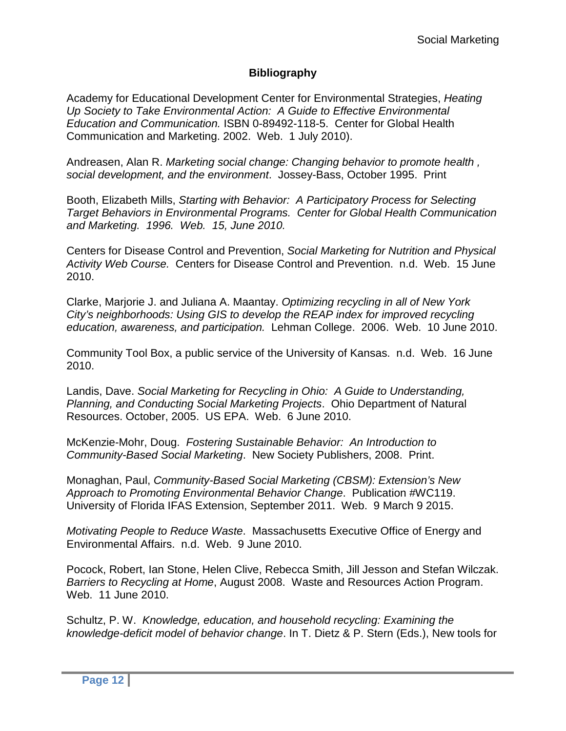### **Bibliography**

Academy for Educational Development Center for Environmental Strategies, *Heating Up Society to Take Environmental Action: A Guide to Effective Environmental Education and Communication.* ISBN 0-89492-118-5. Center for Global Health Communication and Marketing. 2002. Web. 1 July 2010).

Andreasen, Alan R. *Marketing social change: Changing behavior to promote health , social development, and the environment*. Jossey-Bass, October 1995. Print

Booth, Elizabeth Mills, *Starting with Behavior: A Participatory Process for Selecting Target Behaviors in Environmental Programs. Center for Global Health Communication and Marketing. 1996. Web. 15, June 2010.*

Centers for Disease Control and Prevention, *Social Marketing for Nutrition and Physical Activity Web Course.* Centers for Disease Control and Prevention. n.d. Web. 15 June 2010.

Clarke, Marjorie J. and Juliana A. Maantay. *Optimizing recycling in all of New York City's neighborhoods: Using GIS to develop the REAP index for improved recycling education, awareness, and participation.* Lehman College. 2006. Web. 10 June 2010.

Community Tool Box, a public service of the University of Kansas. n.d. Web. 16 June 2010.

Landis, Dave. *Social Marketing for Recycling in Ohio: A Guide to Understanding, Planning, and Conducting Social Marketing Projects*. Ohio Department of Natural Resources. October, 2005. US EPA. Web. 6 June 2010.

McKenzie-Mohr, Doug. *Fostering Sustainable Behavior: An Introduction to Community-Based Social Marketing*. New Society Publishers, 2008. Print.

Monaghan, Paul, *Community-Based Social Marketing (CBSM): Extension's New Approach to Promoting Environmental Behavior Change*. Publication #WC119. University of Florida IFAS Extension, September 2011. Web. 9 March 9 2015.

*Motivating People to Reduce Waste*. Massachusetts Executive Office of Energy and Environmental Affairs. n.d. Web. 9 June 2010.

Pocock, Robert, Ian Stone, Helen Clive, Rebecca Smith, Jill Jesson and Stefan Wilczak. *Barriers to Recycling at Home*, August 2008. Waste and Resources Action Program. Web. 11 June 2010.

Schultz, P. W. *Knowledge, education, and household recycling: Examining the knowledge-deficit model of behavior change*. In T. Dietz & P. Stern (Eds.), New tools for